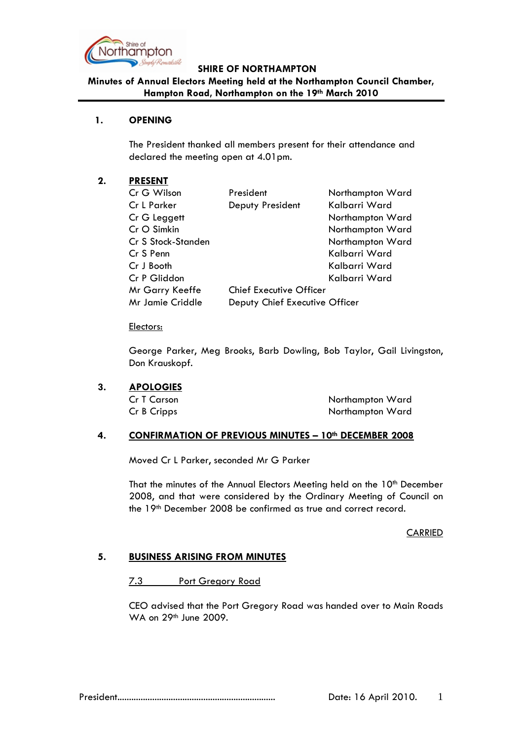

### **SHIRE OF NORTHAMPTON**

# **Minutes of Annual Electors Meeting held at the Northampton Council Chamber, Hampton Road, Northampton on the 19th March 2010**

# **1. OPENING**

The President thanked all members present for their attendance and declared the meeting open at 4.01pm.

### **2. PRESENT**

| Cr G Wilson        | President                      | Northampton Ward |
|--------------------|--------------------------------|------------------|
| Cr L Parker        | Deputy President               | Kalbarri Ward    |
| Cr G Leggett       |                                | Northampton Ward |
| Cr O Simkin        |                                | Northampton Ward |
| Cr S Stock-Standen |                                | Northampton Ward |
| Cr S Penn          |                                | Kalbarri Ward    |
| Cr J Booth         |                                | Kalbarri Ward    |
| Cr P Gliddon       |                                | Kalbarri Ward    |
| Mr Garry Keeffe    | <b>Chief Executive Officer</b> |                  |
| Mr Jamie Criddle   | Deputy Chief Executive Officer |                  |

### Electors:

George Parker, Meg Brooks, Barb Dowling, Bob Taylor, Gail Livingston, Don Krauskopf.

### **3. APOLOGIES**

Cr T Carson Northampton Ward Cr B Cripps Northampton Ward

# **4. CONFIRMATION OF PREVIOUS MINUTES – 10th DECEMBER 2008**

Moved Cr L Parker, seconded Mr G Parker

That the minutes of the Annual Electors Meeting held on the 10<sup>th</sup> December 2008, and that were considered by the Ordinary Meeting of Council on the 19th December 2008 be confirmed as true and correct record.

### **CARRIED**

# **5. BUSINESS ARISING FROM MINUTES**

7.3 Port Gregory Road

CEO advised that the Port Gregory Road was handed over to Main Roads WA on 29th June 2009.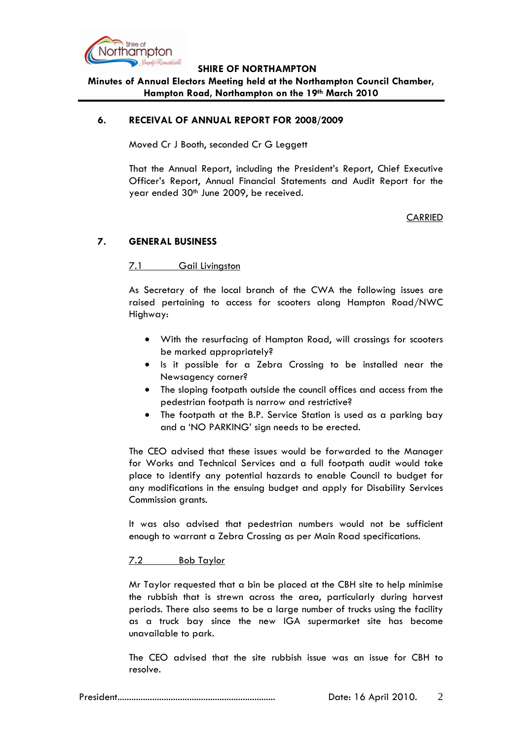

#### **SHIRE OF NORTHAMPTON**

**Minutes of Annual Electors Meeting held at the Northampton Council Chamber, Hampton Road, Northampton on the 19th March 2010**

### **6. RECEIVAL OF ANNUAL REPORT FOR 2008/2009**

Moved Cr J Booth, seconded Cr G Leggett

That the Annual Report, including the President's Report, Chief Executive Officer's Report, Annual Financial Statements and Audit Report for the year ended 30<sup>th</sup> June 2009, be received.

CARRIED

# **7. GENERAL BUSINESS**

### 7.1 Gail Livingston

As Secretary of the local branch of the CWA the following issues are raised pertaining to access for scooters along Hampton Road/NWC Highway:

- With the resurfacing of Hampton Road, will crossings for scooters be marked appropriately?
- Is it possible for a Zebra Crossing to be installed near the Newsagency corner?
- The sloping footpath outside the council offices and access from the pedestrian footpath is narrow and restrictive?
- The footpath at the B.P. Service Station is used as a parking bay and a 'NO PARKING' sign needs to be erected.

The CEO advised that these issues would be forwarded to the Manager for Works and Technical Services and a full footpath audit would take place to identify any potential hazards to enable Council to budget for any modifications in the ensuing budget and apply for Disability Services Commission grants.

It was also advised that pedestrian numbers would not be sufficient enough to warrant a Zebra Crossing as per Main Road specifications.

# 7.2 Bob Taylor

Mr Taylor requested that a bin be placed at the CBH site to help minimise the rubbish that is strewn across the area, particularly during harvest periods. There also seems to be a large number of trucks using the facility as a truck bay since the new IGA supermarket site has become unavailable to park.

The CEO advised that the site rubbish issue was an issue for CBH to resolve.

President.................................................................... Date: 16 April 2010. 2